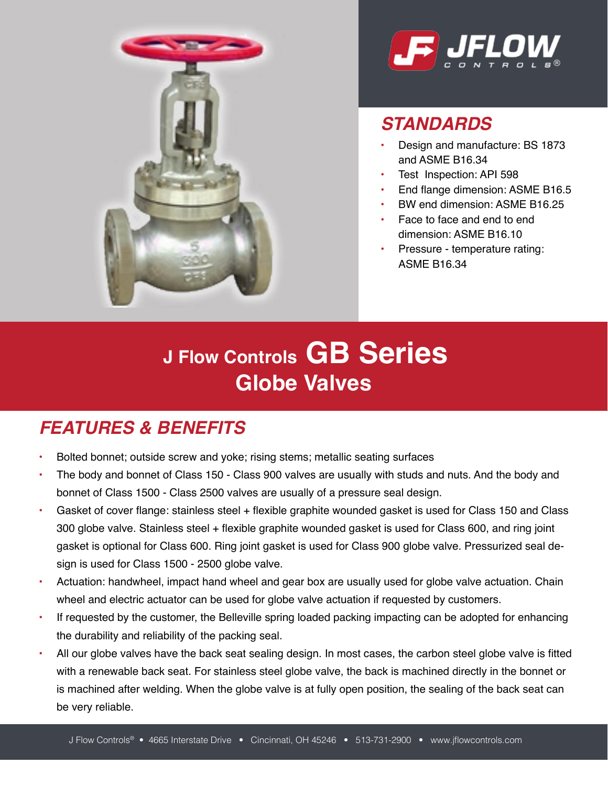



## *STANDARDS*

- Design and manufacture: BS 1873 and ASME B16.34
- Test Inspection: API 598
- End flange dimension: ASME B16.5
- BW end dimension: ASME B16.25
- Face to face and end to end dimension: ASME B16.10
- Pressure temperature rating: ASME B16.34

# **J Flow Controls GB Series Globe Valves**

### *FEATURES & BENEFITS*

- Bolted bonnet; outside screw and yoke; rising stems; metallic seating surfaces
- The body and bonnet of Class 150 Class 900 valves are usually with studs and nuts. And the body and bonnet of Class 1500 - Class 2500 valves are usually of a pressure seal design.
- Gasket of cover flange: stainless steel + flexible graphite wounded gasket is used for Class 150 and Class 300 globe valve. Stainless steel + flexible graphite wounded gasket is used for Class 600, and ring joint gasket is optional for Class 600. Ring joint gasket is used for Class 900 globe valve. Pressurized seal design is used for Class 1500 - 2500 globe valve.
- Actuation: handwheel, impact hand wheel and gear box are usually used for globe valve actuation. Chain wheel and electric actuator can be used for globe valve actuation if requested by customers.
- If requested by the customer, the Belleville spring loaded packing impacting can be adopted for enhancing the durability and reliability of the packing seal.
- All our globe valves have the back seat sealing design. In most cases, the carbon steel globe valve is fitted with a renewable back seat. For stainless steel globe valve, the back is machined directly in the bonnet or is machined after welding. When the globe valve is at fully open position, the sealing of the back seat can be very reliable.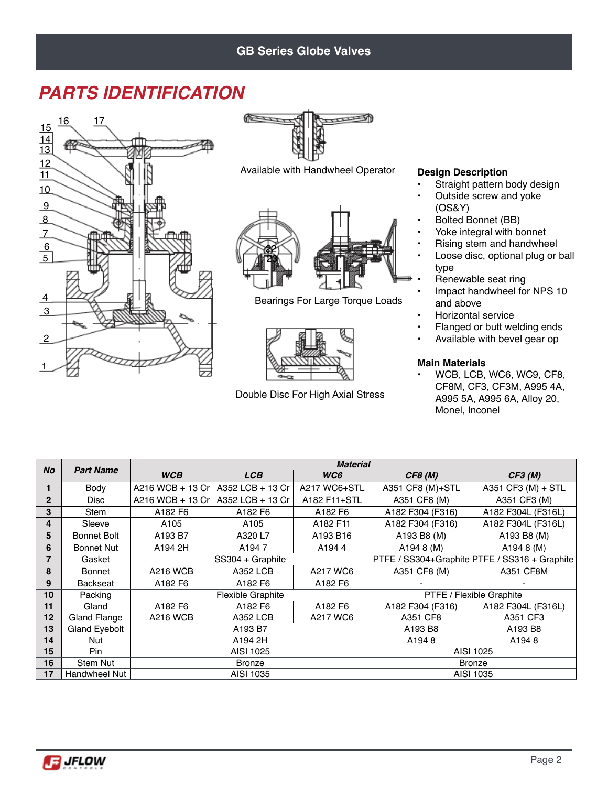### **GB Series Globe Valves**

## *PARTS IDENTIFICATION*





Available with Handwheel Operator



Bearings For Large Torque Loads



Double Disc For High Axial Stress

#### **Design Description**

- Straight pattern body design
- Outside screw and yoke (OS&Y)
- Bolted Bonnet (BB)
- Yoke integral with bonnet
- Rising stem and handwheel
- Loose disc, optional plug or ball type
- Renewable seat ring
- Impact handwheel for NPS 10 and above
- Horizontal service
- Flanged or butt welding ends
- Available with bevel gear op

#### **Main Materials**

• WCB, LCB, WC6, WC9, CF8, CF8M, CF3, CF3M, A995 4A, A995 5A, A995 6A, Alloy 20, Monel, Inconel

|                |                      |                  |                          | <b>Material</b>                               |                          |                    |  |
|----------------|----------------------|------------------|--------------------------|-----------------------------------------------|--------------------------|--------------------|--|
| <b>No</b>      | <b>Part Name</b>     | <b>WCB</b>       | <b>LCB</b>               | WC6                                           | <b>CF8 (M)</b>           | CF3(M)             |  |
|                | Body                 | A216 WCB + 13 Cr | A352 LCB + 13 Cr         | A217 WC6+STL                                  | A351 CF8 (M)+STL         | A351 CF3 (M) + STL |  |
| $\overline{2}$ | <b>Disc</b>          | A216 WCB + 13 Cr | A352 LCB + 13 Cr         | A182 F11+STL                                  | A351 CF8 (M)             | A351 CF3 (M)       |  |
| 3              | <b>Stem</b>          | A182 F6          | A182 F6                  | A182 F6                                       | A182 F304 (F316)         | A182 F304L (F316L) |  |
| 4              | Sleeve               | A <sub>105</sub> | A <sub>105</sub>         | A182 F11                                      | A182 F304 (F316)         | A182 F304L (F316L) |  |
| 5              | <b>Bonnet Bolt</b>   | A193 B7          | A320 L7                  | A193 B16                                      | A193 B8 (M)              | A193 B8 (M)        |  |
| 6              | <b>Bonnet Nut</b>    | A194 2H          | A <sub>194</sub> 7       | A1944                                         | A194 8 (M)               | A194 8 (M)         |  |
| 7              | Gasket               |                  | SS304 + Graphite         | PTFE / SS304+Graphite PTFE / SS316 + Graphite |                          |                    |  |
| 8              | <b>Bonnet</b>        | <b>A216 WCB</b>  | <b>A352 LCB</b>          | A217 WC6                                      | A351 CF8 (M)             | A351 CF8M          |  |
| 9              | <b>Backseat</b>      | A182 F6          | A182 F6                  | A182 F6                                       |                          |                    |  |
| 10             | Packing              |                  | <b>Flexible Graphite</b> |                                               | PTFE / Flexible Graphite |                    |  |
| 11             | Gland                | A182 F6          | A182 F6                  | A182 F6                                       | A182 F304 (F316)         | A182 F304L (F316L) |  |
| 12             | Gland Flange         | <b>A216 WCB</b>  | <b>A352 LCB</b>          | A217 WC6                                      | A351 CF8                 | A351 CF3           |  |
| 13             | Gland Eyebolt        |                  | A193 B7                  |                                               | A193 B8                  | A193 B8            |  |
| 14             | Nut                  |                  | A194 2H                  |                                               | A1948                    | A1948              |  |
| 15             | Pin                  |                  | AISI 1025                |                                               | AISI 1025                |                    |  |
| 16             | <b>Stem Nut</b>      |                  | <b>Bronze</b>            |                                               | Bronze                   |                    |  |
| 17             | <b>Handwheel Nut</b> |                  | AISI 1035                |                                               | AISI 1035                |                    |  |

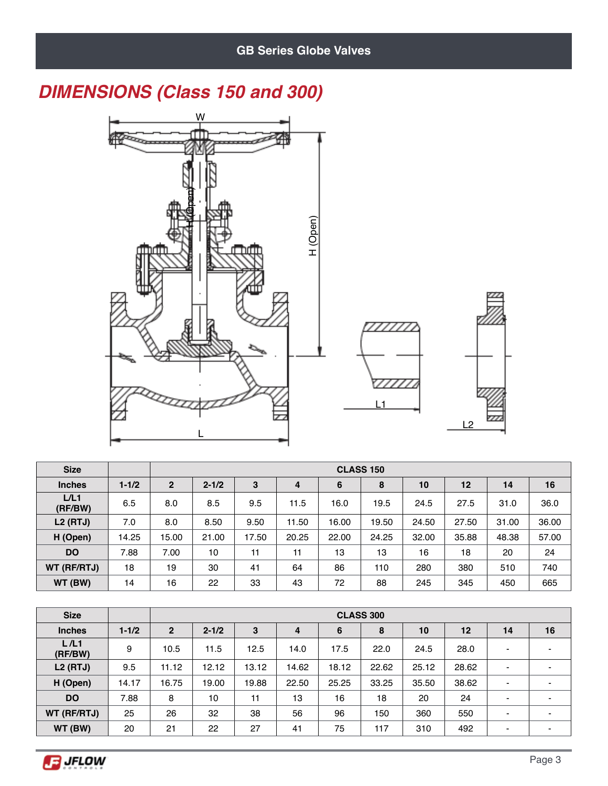## *DIMENSIONS (Class 150 and 300)*



| <b>Size</b>     |           |              | <b>CLASS 150</b>                          |       |       |       |       |       |       |       |       |  |
|-----------------|-----------|--------------|-------------------------------------------|-------|-------|-------|-------|-------|-------|-------|-------|--|
| <b>Inches</b>   | $1 - 1/2$ | $\mathbf{2}$ | 3<br>$2 - 1/2$<br>6<br>8<br>10<br>12<br>4 |       |       |       |       |       |       |       | 16    |  |
| L/L1<br>(RF/BW) | 6.5       | 8.0          | 8.5                                       | 9.5   | 11.5  | 16.0  | 19.5  | 24.5  | 27.5  | 31.0  | 36.0  |  |
| $L2$ (RTJ)      | 7.0       | 8.0          | 8.50                                      | 9.50  | 11.50 | 16.00 | 19.50 | 24.50 | 27.50 | 31.00 | 36.00 |  |
| H (Open)        | 14.25     | 15.00        | 21.00                                     | 17.50 | 20.25 | 22.00 | 24.25 | 32.00 | 35.88 | 48.38 | 57.00 |  |
| <b>DO</b>       | 7.88      | 7.00         | 10                                        | 11    | 11    | 13    | 13    | 16    | 18    | 20    | 24    |  |
| WT (RF/RTJ)     | 18        | 19           | 30                                        | 41    | 64    | 86    | 110   | 280   | 380   | 510   | 740   |  |
| WT (BW)         | 14        | 16           | 22                                        | 33    | 43    | 72    | 88    | 245   | 345   | 450   | 665   |  |

| <b>Size</b>     |           |                | <b>CLASS 300</b> |       |       |       |       |       |       |    |    |  |
|-----------------|-----------|----------------|------------------|-------|-------|-------|-------|-------|-------|----|----|--|
| <b>Inches</b>   | $1 - 1/2$ | $\overline{2}$ | $2 - 1/2$        | 3     | 4     | 6     | 8     | 10    | 12    | 14 | 16 |  |
| L/L1<br>(RF/BW) | 9         | 10.5           | 11.5             | 12.5  | 14.0  | 17.5  | 22.0  | 24.5  | 28.0  |    |    |  |
| $L2$ (RTJ)      | 9.5       | 11.12          | 12.12            | 13.12 | 14.62 | 18.12 | 22.62 | 25.12 | 28.62 |    |    |  |
| H (Open)        | 14.17     | 16.75          | 19.00            | 19.88 | 22.50 | 25.25 | 33.25 | 35.50 | 38.62 |    |    |  |
| <b>DO</b>       | 7.88      | 8              | 10               | 11    | 13    | 16    | 18    | 20    | 24    |    |    |  |
| WT (RF/RTJ)     | 25        | 26             | 32               | 38    | 56    | 96    | 150   | 360   | 550   |    |    |  |
| WT (BW)         | 20        | 21             | 22               | 27    | 41    | 75    | 117   | 310   | 492   |    |    |  |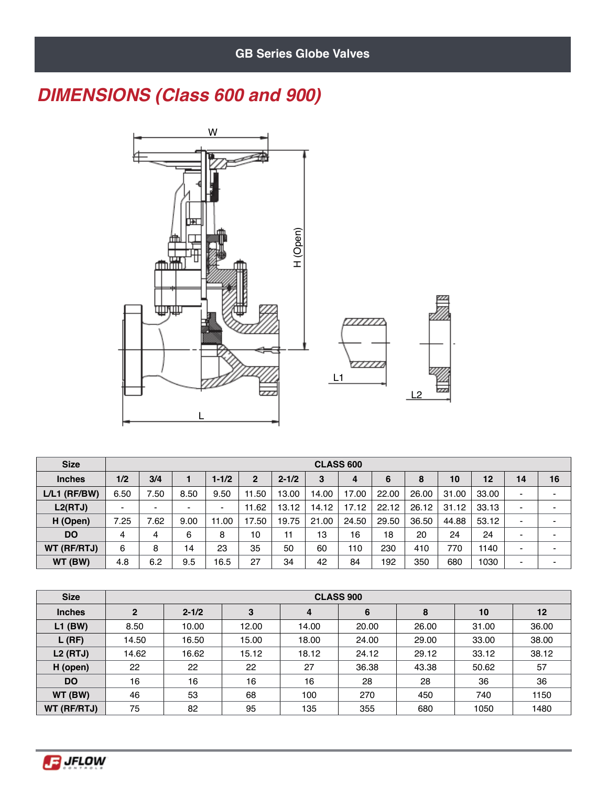## *DIMENSIONS (Class 600 and 900)*



| <b>Size</b>    |                          | <b>CLASS 600</b>         |                |                          |                |           |       |       |       |       |       |       |                |                          |
|----------------|--------------------------|--------------------------|----------------|--------------------------|----------------|-----------|-------|-------|-------|-------|-------|-------|----------------|--------------------------|
| <b>Inches</b>  | 1/2                      | 3/4                      |                | $1 - 1/2$                | $\overline{2}$ | $2 - 1/2$ | 3     | 4     | 6     | 8     | 10    | 12    | 14             | 16                       |
| $L/L1$ (RF/BW) | 6.50                     | 7.50                     | 8.50           | 9.50                     | 11.50          | 13.00     | 14.00 | 17.00 | 22.00 | 26.00 | 31.00 | 33.00 | $\blacksquare$ | $\blacksquare$           |
| L2(RTJ)        | $\overline{\phantom{0}}$ | $\overline{\phantom{a}}$ | $\blacksquare$ | $\overline{\phantom{0}}$ | 11.62          | 13.12     | 14.12 | 17.12 | 22.12 | 26.12 | 31.12 | 33.13 | $\blacksquare$ | $\overline{\phantom{0}}$ |
| H (Open)       | 7.25                     | 7.62                     | 9.00           | 11.00                    | 17.50          | 19.75     | 21.00 | 24.50 | 29.50 | 36.50 | 44.88 | 53.12 | -              | $\overline{\phantom{0}}$ |
| <b>DO</b>      | 4                        | 4                        | 6              | 8                        | 10             | 11        | 13    | 16    | 18    | 20    | 24    | 24    | -              | ۰                        |
| WT (RF/RTJ)    | 6                        | 8                        | 14             | 23                       | 35             | 50        | 60    | 110   | 230   | 410   | 770   | 1140  | -              | $\overline{\phantom{0}}$ |
| WT (BW)        | 4.8                      | 6.2                      | 9.5            | 16.5                     | 27             | 34        | 42    | 84    | 192   | 350   | 680   | 1030  | -              | $\overline{\phantom{a}}$ |

| <b>Size</b>   |                | <b>CLASS 900</b> |       |       |       |       |       |       |  |  |  |  |  |  |
|---------------|----------------|------------------|-------|-------|-------|-------|-------|-------|--|--|--|--|--|--|
| <b>Inches</b> | $\overline{2}$ | $2 - 1/2$        | 3     | 4     | 6     | 8     | 10    | 12    |  |  |  |  |  |  |
| $L1$ (BW)     | 8.50           | 10.00            | 12.00 | 14.00 | 20.00 | 26.00 | 31.00 | 36.00 |  |  |  |  |  |  |
| $L$ (RF)      | 14.50          | 16.50            | 15.00 | 18.00 | 24.00 | 29.00 | 33.00 | 38.00 |  |  |  |  |  |  |
| $L2$ (RTJ)    | 14.62          | 16.62            | 15.12 | 18.12 | 24.12 | 29.12 | 33.12 | 38.12 |  |  |  |  |  |  |
| H (open)      | 22             | 22               | 22    | 27    | 36.38 | 43.38 | 50.62 | 57    |  |  |  |  |  |  |
| <b>DO</b>     | 16             | 16               | 16    | 16    | 28    | 28    | 36    | 36    |  |  |  |  |  |  |
| WT (BW)       | 46             | 53               | 68    | 100   | 270   | 450   | 740   | 1150  |  |  |  |  |  |  |
| WT (RF/RTJ)   | 75             | 82               | 95    | 135   | 355   | 680   | 1050  | 1480  |  |  |  |  |  |  |

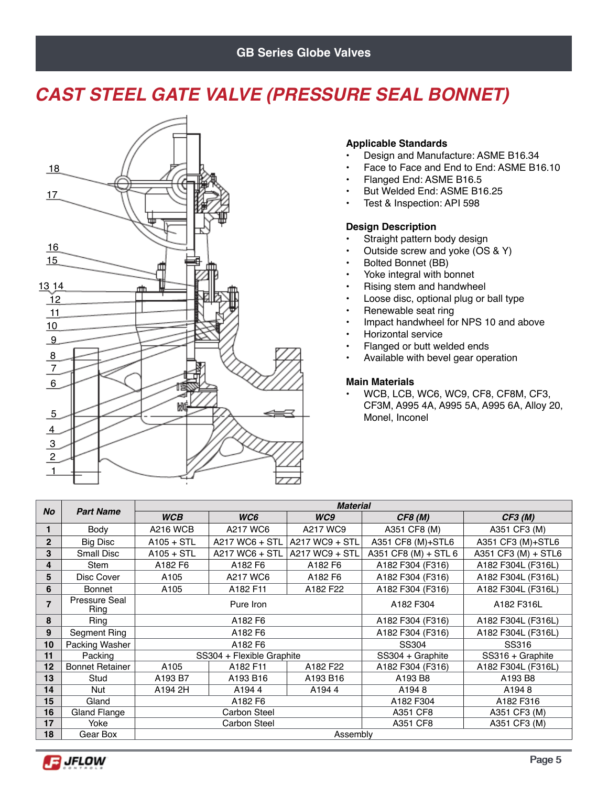### **GB Series Globe Valves**

## *CAST STEEL GATE VALVE (PRESSURE SEAL BONNET)*



### **Applicable Standards**

- Design and Manufacture: ASME B16.34
- Face to Face and End to End: ASME B16.10
- Flanged End: ASME B16.5
- But Welded End: ASME B16.25
- Test & Inspection: API 598

#### **Design Description**

- Straight pattern body design
- Outside screw and yoke (OS & Y)
- Bolted Bonnet (BB)
- Yoke integral with bonnet
- Rising stem and handwheel
- Loose disc, optional plug or ball type
- Renewable seat ring
- Impact handwheel for NPS 10 and above
- Horizontal service
- Flanged or butt welded ends
- Available with bevel gear operation

#### **Main Materials**

• WCB, LCB, WC6, WC9, CF8, CF8M, CF3, CF3M, A995 4A, A995 5A, A995 6A, Alloy 20, Monel, Inconel

|                |                        |                  |                           | <b>Material</b> |                      |                     |
|----------------|------------------------|------------------|---------------------------|-----------------|----------------------|---------------------|
| <b>No</b>      | <b>Part Name</b>       | <b>WCB</b>       | WC6                       | WC9             | CF8 (M)              | CF3(M)              |
| 1              | Body                   | <b>A216 WCB</b>  | A217 WC6                  | A217 WC9        | A351 CF8 (M)         | A351 CF3 (M)        |
| $\overline{2}$ | <b>Big Disc</b>        | $A105 + STL$     | A217 WC6 + STL            | A217 WC9 + STL  | A351 CF8 (M)+STL6    | A351 CF3 (M)+STL6   |
| 3              | Small Disc             | $A105 + STL$     | A217 WC6 + STL            | A217 WC9 + STL  | A351 CF8 (M) + STL 6 | A351 CF3 (M) + STL6 |
| 4              | <b>Stem</b>            | A182 F6          | A182 F6                   | A182 F6         | A182 F304 (F316)     | A182 F304L (F316L)  |
| 5              | Disc Cover             | A105             | A217 WC6                  | A182 F6         | A182 F304 (F316)     | A182 F304L (F316L)  |
| 6              | <b>Bonnet</b>          | A <sub>105</sub> | A182 F11                  | A182 F22        | A182 F304 (F316)     | A182 F304L (F316L)  |
| 7              | Pressure Seal<br>Ring  |                  | Pure Iron                 |                 | A182 F304            | A182 F316L          |
| 8              | Ring                   |                  | A182 F6                   |                 | A182 F304 (F316)     | A182 F304L (F316L)  |
| 9              | Segment Ring           |                  | A182 F6                   |                 | A182 F304 (F316)     | A182 F304L (F316L)  |
| 10             | Packing Washer         |                  | A182 F6                   |                 | SS304                | SS316               |
| 11             | Packing                |                  | SS304 + Flexible Graphite |                 | SS304 + Graphite     | SS316 + Graphite    |
| 12             | <b>Bonnet Retainer</b> | A105             | A182 F11                  | A182 F22        | A182 F304 (F316)     | A182 F304L (F316L)  |
| 13             | Stud                   | A193 B7          | A193 B16                  | A193 B16        | A193 B8              | A193 B8             |
| 14             | <b>Nut</b>             | A194 2H          | A1944                     | A1944           | A1948                | A1948               |
| 15             | Gland                  |                  | A182 F6                   |                 | A182 F304            | A182 F316           |
| 16             | Gland Flange           |                  | <b>Carbon Steel</b>       |                 | A351 CF8             | A351 CF3 (M)        |
| 17             | Yoke                   |                  | Carbon Steel              |                 | A351 CF8             | A351 CF3 (M)        |
| 18             | Gear Box               |                  |                           | Assembly        |                      |                     |

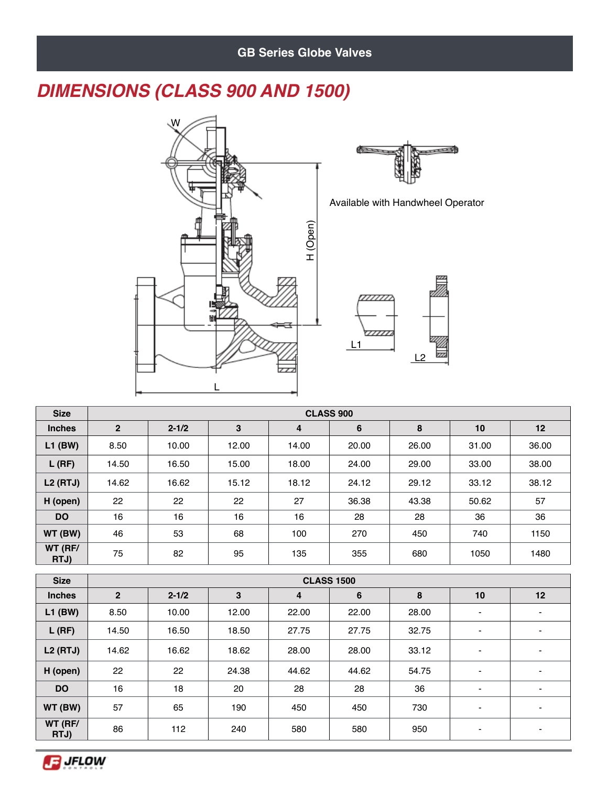## *DIMENSIONS (CLASS 900 AND 1500)*



|    | Available with Handwheel Operator |
|----|-----------------------------------|
|    |                                   |
|    |                                   |
|    |                                   |
|    |                                   |
|    |                                   |
|    |                                   |
| L1 |                                   |
|    | L2                                |

**BERTHDARY** 

| <b>Size</b>     |                | <b>CLASS 900</b> |       |       |       |       |       |       |  |  |  |  |  |
|-----------------|----------------|------------------|-------|-------|-------|-------|-------|-------|--|--|--|--|--|
| <b>Inches</b>   | $\overline{2}$ | $2 - 1/2$        | 3     | 4     | 6     | 8     | 10    | 12    |  |  |  |  |  |
| $L1$ (BW)       | 8.50           | 10.00            | 12.00 | 14.00 | 20.00 | 26.00 | 31.00 | 36.00 |  |  |  |  |  |
| $L$ (RF)        | 14.50          | 16.50            | 15.00 | 18.00 | 24.00 | 29.00 | 33.00 | 38.00 |  |  |  |  |  |
| $L2$ (RTJ)      | 14.62          | 16.62            | 15.12 | 18.12 | 24.12 | 29.12 | 33.12 | 38.12 |  |  |  |  |  |
| H (open)        | 22             | 22               | 22    | 27    | 36.38 | 43.38 | 50.62 | 57    |  |  |  |  |  |
| <b>DO</b>       | 16             | 16               | 16    | 16    | 28    | 28    | 36    | 36    |  |  |  |  |  |
| WT (BW)         | 46             | 53               | 68    | 100   | 270   | 450   | 740   | 1150  |  |  |  |  |  |
| WT (RF/<br>RTJ) | 75             | 82               | 95    | 135   | 355   | 680   | 1050  | 1480  |  |  |  |  |  |

| <b>Size</b>     |                |           |       | <b>CLASS 1500</b> |       |       |                          |                          |
|-----------------|----------------|-----------|-------|-------------------|-------|-------|--------------------------|--------------------------|
| <b>Inches</b>   | $\overline{2}$ | $2 - 1/2$ | 3     | 4                 | 6     | 8     | 10                       | 12                       |
| $L1$ (BW)       | 8.50           | 10.00     | 12.00 | 22.00             | 22.00 | 28.00 | $\overline{\phantom{0}}$ | $\,$                     |
| $L$ (RF)        | 14.50          | 16.50     | 18.50 | 27.75             | 27.75 | 32.75 | $\overline{\phantom{a}}$ | $\overline{\phantom{0}}$ |
| $L2$ (RTJ)      | 14.62          | 16.62     | 18.62 | 28.00             | 28.00 | 33.12 | $\blacksquare$           | $\overline{\phantom{0}}$ |
| H (open)        | 22             | 22        | 24.38 | 44.62             | 44.62 | 54.75 | $\overline{\phantom{a}}$ | $\overline{\phantom{a}}$ |
| <b>DO</b>       | 16             | 18        | 20    | 28                | 28    | 36    | $\blacksquare$           | ۰                        |
| WT (BW)         | 57             | 65        | 190   | 450               | 450   | 730   | $\overline{\phantom{0}}$ | $\overline{\phantom{0}}$ |
| WT (RF/<br>RTJ) | 86             | 112       | 240   | 580               | 580   | 950   | $\overline{\phantom{0}}$ | $\overline{\phantom{0}}$ |

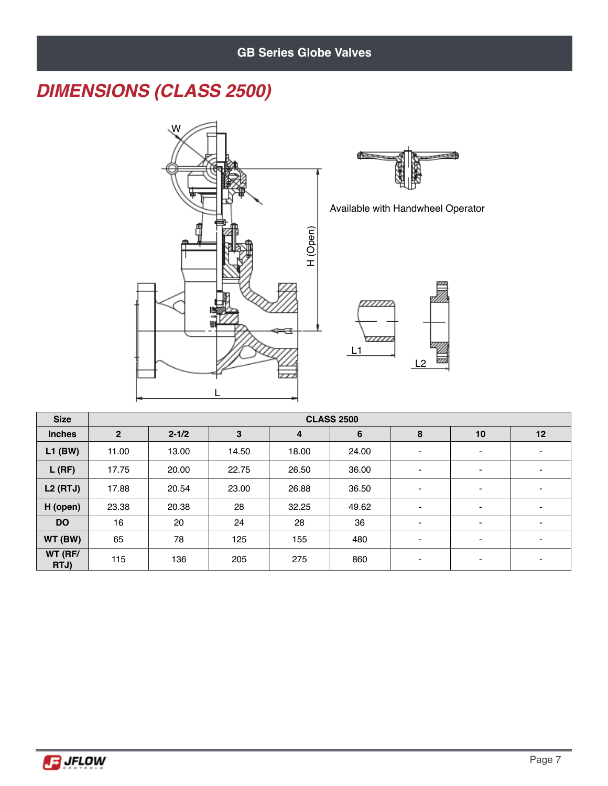## *DIMENSIONS (CLASS 2500)*



| <b>Size</b>     |                | <b>CLASS 2500</b> |       |       |       |                          |                          |                |  |  |  |  |  |
|-----------------|----------------|-------------------|-------|-------|-------|--------------------------|--------------------------|----------------|--|--|--|--|--|
| <b>Inches</b>   | $\overline{2}$ | $2 - 1/2$         | 3     | 4     | 6     | 8                        | 10                       | 12             |  |  |  |  |  |
| $L1$ (BW)       | 11.00          | 13.00             | 14.50 | 18.00 | 24.00 | $\blacksquare$           | $\overline{\phantom{a}}$ | ۰              |  |  |  |  |  |
| $L$ (RF)        | 17.75          | 20.00             | 22.75 | 26.50 | 36.00 | $\blacksquare$           | $\blacksquare$           | $\blacksquare$ |  |  |  |  |  |
| $L2$ (RTJ)      | 17.88          | 20.54             | 23.00 | 26.88 | 36.50 | $\overline{\phantom{0}}$ | $\blacksquare$           | $\blacksquare$ |  |  |  |  |  |
| H (open)        | 23.38          | 20.38             | 28    | 32.25 | 49.62 | $\blacksquare$           | $\overline{\phantom{a}}$ | $\blacksquare$ |  |  |  |  |  |
| <b>DO</b>       | 16             | 20                | 24    | 28    | 36    | $\overline{\phantom{a}}$ | $\overline{\phantom{a}}$ | $\blacksquare$ |  |  |  |  |  |
| WT (BW)         | 65             | 78                | 125   | 155   | 480   | $\blacksquare$           | $\blacksquare$           | $\blacksquare$ |  |  |  |  |  |
| WT (RF/<br>RTJ) | 115            | 136               | 205   | 275   | 860   | $\,$                     | $\blacksquare$           | $\blacksquare$ |  |  |  |  |  |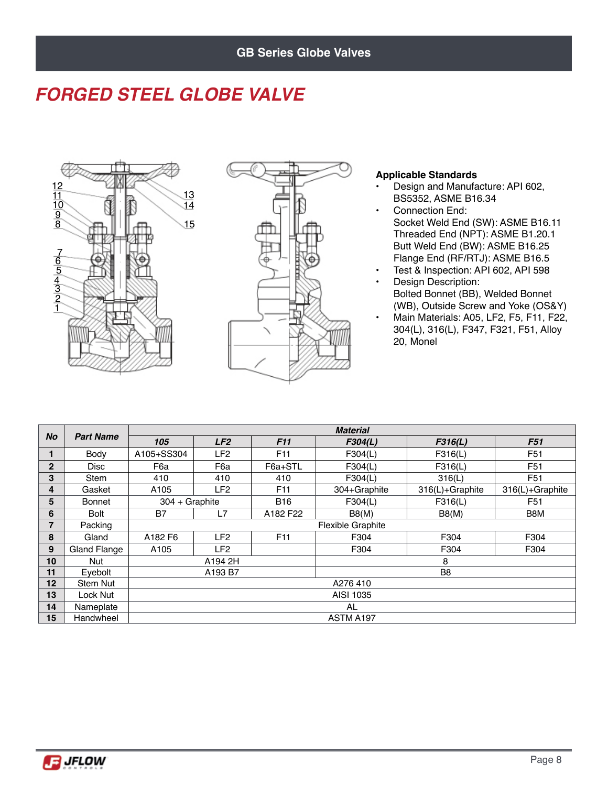## *FORGED STEEL GLOBE VALVE*





#### **Applicable Standards**

- Design and Manufacture: API 602, BS5352, ASME B16.34
- Connection End: Socket Weld End (SW): ASME B16.11 Threaded End (NPT): ASME B1.20.1 Butt Weld End (BW): ASME B16.25 Flange End (RF/RTJ): ASME B16.5
- Test & Inspection: API 602, API 598
- Design Description: Bolted Bonnet (BB), Welded Bonnet (WB), Outside Screw and Yoke (OS&Y)
- Main Materials: A05, LF2, F5, F11, F22, 304(L), 316(L), F347, F321, F51, Alloy 20, Monel

| <b>No</b>    | <b>Part Name</b>    |                  |                 |                 | <b>Material</b>   |                 |                 |  |  |  |  |
|--------------|---------------------|------------------|-----------------|-----------------|-------------------|-----------------|-----------------|--|--|--|--|
|              |                     | 105              | LF2             | F11             | F304(L)           | F316(L)         | F51             |  |  |  |  |
| 1            | Body                | A105+SS304       | LF <sub>2</sub> | F <sub>11</sub> | F304(L)           | F316(L)         | F <sub>51</sub> |  |  |  |  |
| $\mathbf{2}$ | <b>Disc</b>         | F6a              | F6a             | F6a+STL         | F304(L)           | F316(L)         | F <sub>51</sub> |  |  |  |  |
| 3            | <b>Stem</b>         | 410              | 410             | 410             | F304(L)           | 316(L)          | F51             |  |  |  |  |
| 4            | Gasket              | A105             | LF <sub>2</sub> | F <sub>11</sub> | 304+Graphite      | 316(L)+Graphite | 316(L)+Graphite |  |  |  |  |
| 5            | <b>Bonnet</b>       | $304 + Graphite$ |                 | B16             | F304(L)           | F316(L)         | F51             |  |  |  |  |
| 6            | <b>Bolt</b>         | <b>B7</b>        | L7              | A182 F22        | B8(M)             | B8(M)           | B8M             |  |  |  |  |
| 7            | Packing             |                  |                 |                 | Flexible Graphite |                 |                 |  |  |  |  |
| 8            | Gland               | A182 F6          | LF <sub>2</sub> | F <sub>11</sub> | F304              | F304            | F304            |  |  |  |  |
| 9            | <b>Gland Flange</b> | A <sub>105</sub> | LF <sub>2</sub> |                 | F304              | F304            | F304            |  |  |  |  |
| 10           | Nut                 |                  | A194 2H         |                 |                   | 8               |                 |  |  |  |  |
| 11           | Evebolt             |                  | A193 B7         |                 |                   | B <sub>8</sub>  |                 |  |  |  |  |
| 12           | Stem Nut            |                  |                 |                 | A276410           |                 |                 |  |  |  |  |
| 13           | Lock Nut            |                  | AISI 1035       |                 |                   |                 |                 |  |  |  |  |
| 14           | Nameplate           |                  | AL              |                 |                   |                 |                 |  |  |  |  |
| 15           | Handwheel           |                  |                 |                 | ASTM A197         |                 |                 |  |  |  |  |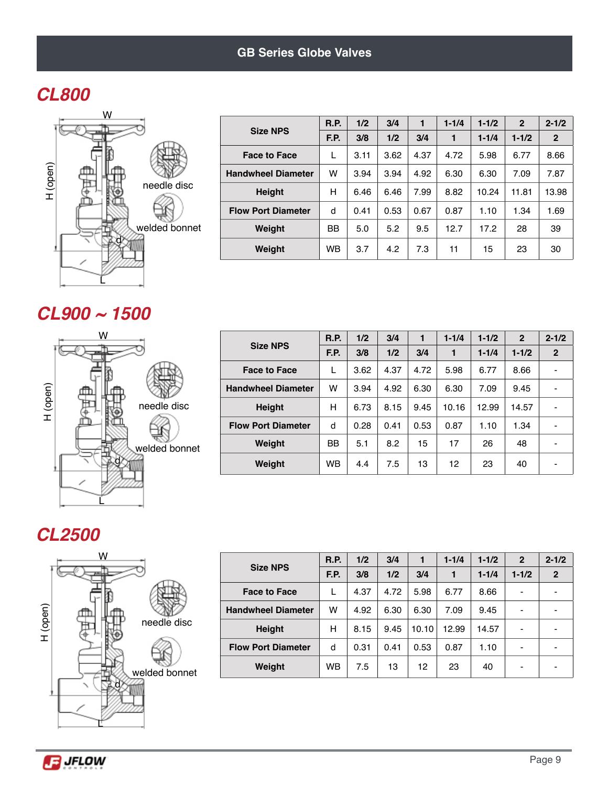## *CL800*



|                           | <b>R.P.</b> | 1/2  | 3/4  | 1    | $1 - 1/4$ | $1 - 1/2$ | $\mathbf{2}$ | $2 - 1/2$      |
|---------------------------|-------------|------|------|------|-----------|-----------|--------------|----------------|
| <b>Size NPS</b>           | F.P.        | 3/8  | 1/2  | 3/4  | 1         | $1 - 1/4$ | $1 - 1/2$    | $\overline{2}$ |
| <b>Face to Face</b>       | L           | 3.11 | 3.62 | 4.37 | 4.72      | 5.98      | 6.77         | 8.66           |
| <b>Handwheel Diameter</b> | w           | 3.94 | 3.94 | 4.92 | 6.30      | 6.30      | 7.09         | 7.87           |
| <b>Height</b>             | н           | 6.46 | 6.46 | 7.99 | 8.82      | 10.24     | 11.81        | 13.98          |
| <b>Flow Port Diameter</b> | d           | 0.41 | 0.53 | 0.67 | 0.87      | 1.10      | 1.34         | 1.69           |
| Weight                    | <b>BB</b>   | 5.0  | 5.2  | 9.5  | 12.7      | 17.2      | 28           | 39             |
| Weight                    | <b>WB</b>   | 3.7  | 4.2  | 7.3  | 11        | 15        | 23           | 30             |

### *CL900 ~ 1500*



| <b>Size NPS</b>           | <b>R.P.</b> | 1/2  | 3/4  | 1    | $1 - 1/4$ | $1 - 1/2$ | $\mathbf{2}$ | $2 - 1/2$    |
|---------------------------|-------------|------|------|------|-----------|-----------|--------------|--------------|
|                           | F.P.        | 3/8  | 1/2  | 3/4  | 1         | $1 - 1/4$ | $1 - 1/2$    | $\mathbf{2}$ |
| <b>Face to Face</b>       | L           | 3.62 | 4.37 | 4.72 | 5.98      | 6.77      | 8.66         |              |
| <b>Handwheel Diameter</b> | w           | 3.94 | 4.92 | 6.30 | 6.30      | 7.09      | 9.45         | -            |
| <b>Height</b>             | н           | 6.73 | 8.15 | 9.45 | 10.16     | 12.99     | 14.57        |              |
| <b>Flow Port Diameter</b> | d           | 0.28 | 0.41 | 0.53 | 0.87      | 1.10      | 1.34         |              |
| Weight                    | <b>BB</b>   | 5.1  | 8.2  | 15   | 17        | 26        | 48           | -            |
| Weight                    | <b>WB</b>   | 4.4  | 7.5  | 13   | 12        | 23        | 40           | -            |

### *CL2500*



|                           | <b>R.P.</b> | 1/2  | 3/4  |       | $1 - 1/4$ | $1 - 1/2$ | $\overline{2}$ | $2 - 1/2$    |
|---------------------------|-------------|------|------|-------|-----------|-----------|----------------|--------------|
| <b>Size NPS</b>           | F.P.        | 3/8  | 1/2  | 3/4   | 1         | $1 - 1/4$ | $1 - 1/2$      | $\mathbf{2}$ |
| <b>Face to Face</b>       |             | 4.37 | 4.72 | 5.98  | 6.77      | 8.66      |                |              |
| <b>Handwheel Diameter</b> | w           | 4.92 | 6.30 | 6.30  | 7.09      | 9.45      |                |              |
| <b>Height</b>             | н           | 8.15 | 9.45 | 10.10 | 12.99     | 14.57     |                |              |
| <b>Flow Port Diameter</b> | d           | 0.31 | 0.41 | 0.53  | 0.87      | 1.10      |                |              |
| Weight                    | <b>WB</b>   | 7.5  | 13   | 12    | 23        | 40        |                |              |

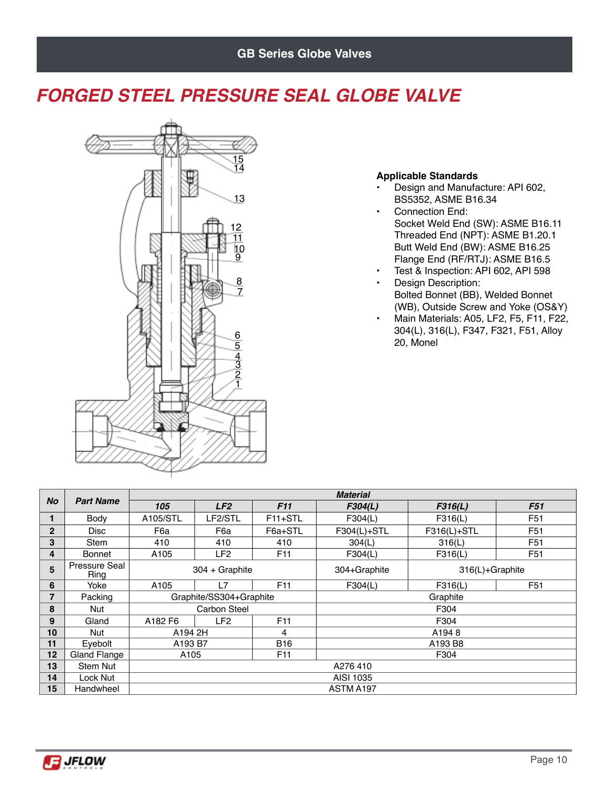## *FORGED STEEL PRESSURE SEAL GLOBE VALVE*



### **Applicable Standards**

- Design and Manufacture: API 602, BS5352, ASME B16.34
- Connection End: Socket Weld End (SW): ASME B16.11 Threaded End (NPT): ASME B1.20.1 Butt Weld End (BW): ASME B16.25 Flange End (RF/RTJ): ASME B16.5
- Test & Inspection: API 602, API 598
- Design Description: Bolted Bonnet (BB), Welded Bonnet (WB), Outside Screw and Yoke (OS&Y)
- Main Materials: A05, LF2, F5, F11, F22, 304(L), 316(L), F347, F321, F51, Alloy 20, Monel

|                 | <b>Material</b><br><b>Part Name</b> |          |                         |                      |              |                 |                 |  |  |  |
|-----------------|-------------------------------------|----------|-------------------------|----------------------|--------------|-----------------|-----------------|--|--|--|
| <b>No</b>       |                                     | 105      | LF2                     | F11                  | F304(L)      | F316(L)         | F51             |  |  |  |
|                 | Body                                | A105/STL | LF2/STL                 | F <sub>11+</sub> STL | F304(L)      | F316(L)         | F <sub>51</sub> |  |  |  |
| $\overline{2}$  | <b>Disc</b>                         | F6a      | F6a                     | F6a+STL              | F304(L)+STL  | F316(L)+STL     | F <sub>51</sub> |  |  |  |
| 3               | <b>Stem</b>                         | 410      | 410                     | 410                  | 304(L)       | 316(L)          | F <sub>51</sub> |  |  |  |
| 4               | <b>Bonnet</b>                       | A105     | LF2                     | F <sub>11</sub>      | F304(L)      | F316(L)         | F <sub>51</sub> |  |  |  |
| 5               | <b>Pressure Seal</b><br>Ring        |          | 304 + Graphite          |                      | 304+Graphite | 316(L)+Graphite |                 |  |  |  |
| 6               | Yoke                                | A105     | L7                      | F <sub>11</sub>      | F304(L)      | F316(L)         | F <sub>51</sub> |  |  |  |
| $\overline{7}$  | Packing                             |          | Graphite/SS304+Graphite |                      | Graphite     |                 |                 |  |  |  |
| 8               | Nut                                 |          | <b>Carbon Steel</b>     |                      | F304         |                 |                 |  |  |  |
| 9               | Gland                               | A182 F6  | LF <sub>2</sub>         | F <sub>11</sub>      |              | F304            |                 |  |  |  |
| 10 <sup>1</sup> | Nut                                 | A194 2H  |                         | 4                    | A1948        |                 |                 |  |  |  |
| 11              | Evebolt                             | A193 B7  |                         | <b>B16</b>           | A193 B8      |                 |                 |  |  |  |
| 12              | Gland Flange                        | A105     |                         | F <sub>11</sub>      | F304         |                 |                 |  |  |  |
| 13              | Stem Nut                            |          | A276410                 |                      |              |                 |                 |  |  |  |
| 14              | Lock Nut                            |          |                         |                      | AISI 1035    |                 |                 |  |  |  |
| 15              | Handwheel                           |          |                         |                      | ASTM A197    |                 |                 |  |  |  |

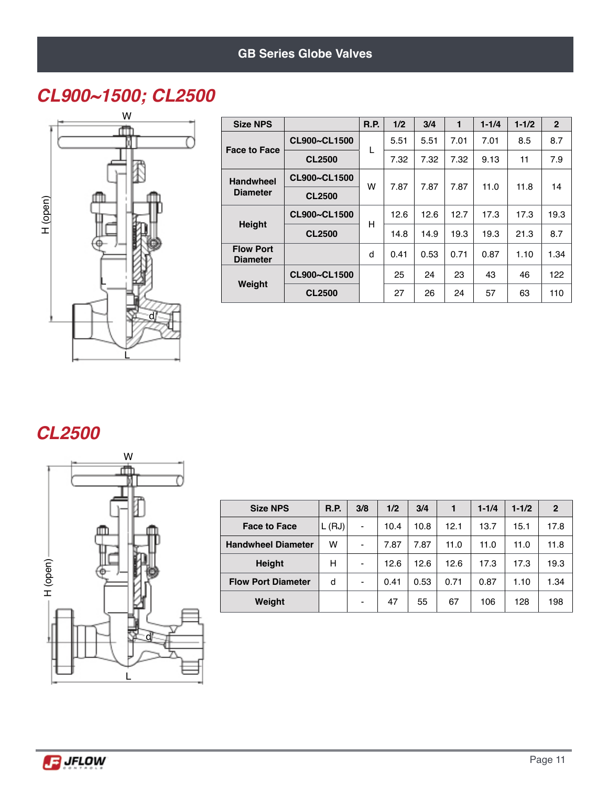## *CL900~1500; CL2500*



| <b>Size NPS</b>                     |               | <b>R.P.</b> | 1/2  | 3/4  | 1    | $1 - 1/4$ | $1 - 1/2$ | $\overline{2}$ |
|-------------------------------------|---------------|-------------|------|------|------|-----------|-----------|----------------|
| <b>Face to Face</b>                 | CL900~CL1500  | L           | 5.51 | 5.51 | 7.01 | 7.01      | 8.5       | 8.7            |
|                                     | <b>CL2500</b> |             | 7.32 | 7.32 | 7.32 | 9.13      | 11        | 7.9            |
| <b>Handwheel</b><br><b>Diameter</b> | CL900~CL1500  | w           | 7.87 | 7.87 | 7.87 | 11.0      | 11.8      | 14             |
|                                     | <b>CL2500</b> |             |      |      |      |           |           |                |
|                                     | CL900~CL1500  | н           | 12.6 | 12.6 | 12.7 | 17.3      | 17.3      | 19.3           |
| <b>Height</b>                       | <b>CL2500</b> |             | 14.8 | 14.9 | 19.3 | 19.3      | 21.3      | 8.7            |
| <b>Flow Port</b><br><b>Diameter</b> |               | d           | 0.41 | 0.53 | 0.71 | 0.87      | 1.10      | 1.34           |
| Weight                              | CL900~CL1500  |             | 25   | 24   | 23   | 43        | 46        | 122            |
|                                     | <b>CL2500</b> |             | 27   | 26   | 24   | 57        | 63        | 110            |

### *CL2500*



| <b>Size NPS</b>           | R.P.  | 3/8                      | 1/2  | 3/4  | 1    | $1 - 1/4$ | $1 - 1/2$ | $\overline{2}$ |
|---------------------------|-------|--------------------------|------|------|------|-----------|-----------|----------------|
| <b>Face to Face</b>       | L(HJ) | $\blacksquare$           | 10.4 | 10.8 | 12.1 | 13.7      | 15.1      | 17.8           |
| <b>Handwheel Diameter</b> | w     | $\overline{\phantom{a}}$ | 7.87 | 7.87 | 11.0 | 11.0      | 11.0      | 11.8           |
| <b>Height</b>             | н     | $\overline{\phantom{0}}$ | 12.6 | 12.6 | 12.6 | 17.3      | 17.3      | 19.3           |
| <b>Flow Port Diameter</b> | d     | $\overline{\phantom{0}}$ | 0.41 | 0.53 | 0.71 | 0.87      | 1.10      | 1.34           |
| Weight                    |       | $\overline{\phantom{0}}$ | 47   | 55   | 67   | 106       | 128       | 198            |